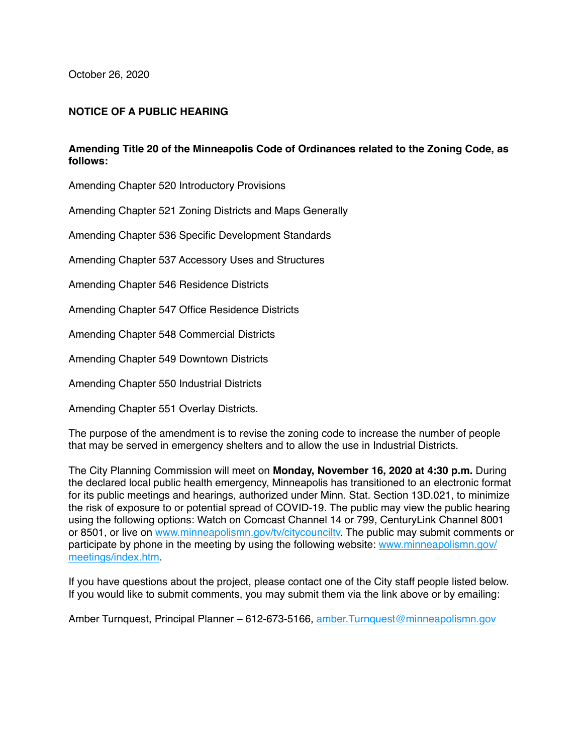October 26, 2020

## **NOTICE OF A PUBLIC HEARING**

## **Amending Title 20 of the Minneapolis Code of Ordinances related to the Zoning Code, as follows:**

Amending Chapter 520 Introductory Provisions

Amending Chapter 521 Zoning Districts and Maps Generally

Amending Chapter 536 Specific Development Standards

Amending Chapter 537 Accessory Uses and Structures

Amending Chapter 546 Residence Districts

Amending Chapter 547 Office Residence Districts

Amending Chapter 548 Commercial Districts

Amending Chapter 549 Downtown Districts

Amending Chapter 550 Industrial Districts

Amending Chapter 551 Overlay Districts.

The purpose of the amendment is to revise the zoning code to increase the number of people that may be served in emergency shelters and to allow the use in Industrial Districts.

The City Planning Commission will meet on **Monday, November 16, 2020 at 4:30 p.m.** During the declared local public health emergency, Minneapolis has transitioned to an electronic format for its public meetings and hearings, authorized under Minn. Stat. Section 13D.021, to minimize the risk of exposure to or potential spread of COVID-19. The public may view the public hearing using the following options: Watch on Comcast Channel 14 or 799, CenturyLink Channel 8001 or 8501, or live on [www.minneapolismn.gov/tv/citycounciltv.](http://www.minneapolismn.gov/tv/citycounciltv) The public may submit comments or participate by phone in the meeting by using the following website: [www.minneapolismn.gov/](http://www.minneapolismn.gov/meetings/index.htm) [meetings/index.htm](http://www.minneapolismn.gov/meetings/index.htm).

If you have questions about the project, please contact one of the City staff people listed below. If you would like to submit comments, you may submit them via the link above or by emailing:

Amber Turnquest, Principal Planner – 612-673-5166, amber. Turnquest@minneapolismn.gov